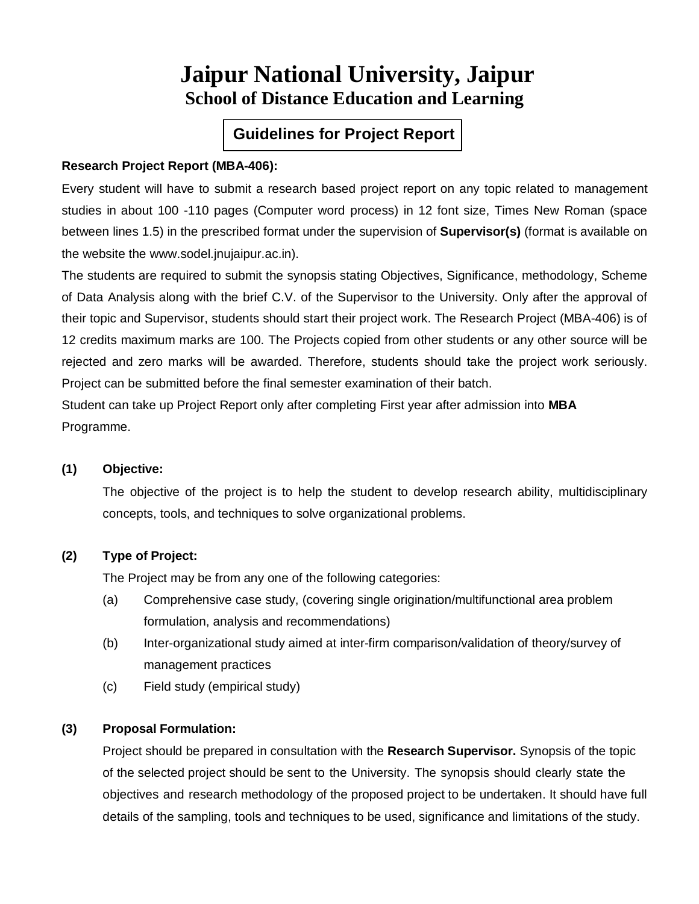# **Jaipur National University, Jaipur School of Distance Education and Learning**

### **Guidelines for Project Guidelines for Project Report**

#### **Research Project Report (MBA-406):**

Every student will have to submit a research based project report on any topic related to management studies in about 100 -110 pages (Computer word process) in 12 font size, Times New Roman (space between lines 1.5) in the prescribed format under the supervision of **Supervisor(s)** (format is available on the website the www.sodel.jnujaipur.ac.in).

The students are required to submit the synopsis stating Objectives, Significance, methodology, Scheme of Data Analysis along with the brief C.V. of the Supervisor to the University. Only after the approval of their topic and Supervisor, students should start their project work. The Research Project (MBA-406) is of 12 credits maximum marks are 100. The Projects copied from other students or any other source will be rejected and zero marks will be awarded. Therefore, students should take the project work seriously. Project can be submitted before the final semester examination of their batch.

Student can take up Project Report only after completing First year after admission into **MBA** Programme.

#### **(1) Objective:**

The objective of the project is to help the student to develop research ability, multidisciplinary concepts, tools, and techniques to solve organizational problems.

#### **(2) Type of Project:**

The Project may be from any one of the following categories:

- (a) Comprehensive case study, (covering single origination/multifunctional area problem formulation, analysis and recommendations)
- (b) Inter-organizational study aimed at inter-firm comparison/validation of theory/survey of management practices
- (c) Field study (empirical study)

#### **(3) Proposal Formulation:**

Project should be prepared in consultation with the **Research Supervisor.** Synopsis of the topic of the selected project should be sent to the University. The synopsis should clearly state the objectives and research methodology of the proposed project to be undertaken. It should have full details of the sampling, tools and techniques to be used, significance and limitations of the study.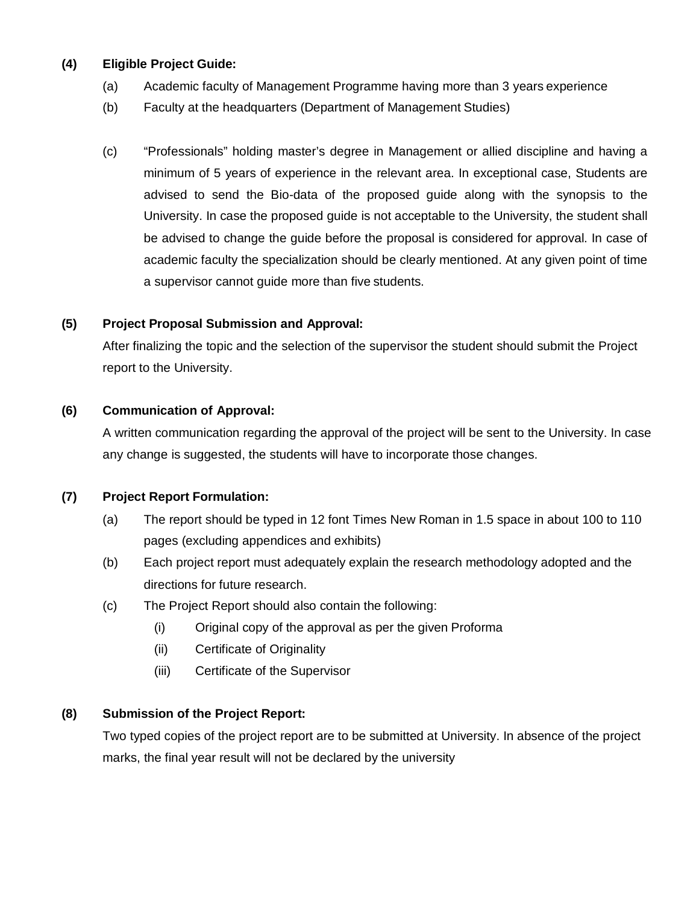#### **(4) Eligible Project Guide:**

- (a) Academic faculty of Management Programme having more than 3 years experience
- (b) Faculty at the headquarters (Department of Management Studies)
- (c) "Professionals" holding master's degree in Management or allied discipline and having a minimum of 5 years of experience in the relevant area. In exceptional case, Students are advised to send the Bio-data of the proposed guide along with the synopsis to the University. In case the proposed guide is not acceptable to the University, the student shall be advised to change the guide before the proposal is considered for approval. In case of academic faculty the specialization should be clearly mentioned. At any given point of time a supervisor cannot guide more than five students.

#### **(5) Project Proposal Submission and Approval:**

After finalizing the topic and the selection of the supervisor the student should submit the Project report to the University.

#### **(6) Communication of Approval:**

A written communication regarding the approval of the project will be sent to the University. In case any change is suggested, the students will have to incorporate those changes.

#### **(7) Project Report Formulation:**

- (a) The report should be typed in 12 font Times New Roman in 1.5 space in about 100 to 110 pages (excluding appendices and exhibits)
- (b) Each project report must adequately explain the research methodology adopted and the directions for future research.
- (c) The Project Report should also contain the following:
	- (i) Original copy of the approval as per the given Proforma
	- (ii) Certificate of Originality
	- (iii) Certificate of the Supervisor

#### **(8) Submission of the Project Report:**

Two typed copies of the project report are to be submitted at University. In absence of the project marks, the final year result will not be declared by the university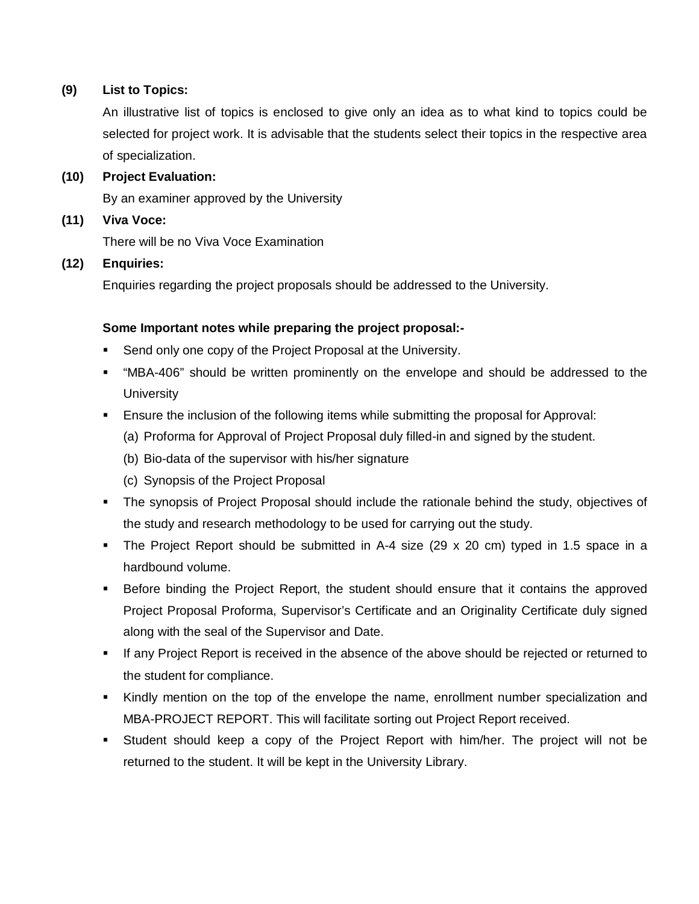#### **(9) List to Topics:**

An illustrative list of topics is enclosed to give only an idea as to what kind to topics could be selected for project work. It is advisable that the students select their topics in the respective area of specialization.

**(10) Project Evaluation:**

By an examiner approved by the University

**(11) Viva Voce:**

There will be no Viva Voce Examination

#### **(12) Enquiries:**

Enquiries regarding the project proposals should be addressed to the University.

#### **Some Important notes while preparing the project proposal:-**

- **Send only one copy of the Project Proposal at the University.**
- "MBA-406" should be written prominently on the envelope and should be addressed to the **University**
- Ensure the inclusion of the following items while submitting the proposal for Approval:
	- (a) Proforma for Approval of Project Proposal duly filled-in and signed by the student.
	- (b) Bio-data of the supervisor with his/her signature
	- (c) Synopsis of the Project Proposal
- The synopsis of Project Proposal should include the rationale behind the study, objectives of the study and research methodology to be used for carrying out the study.
- The Project Report should be submitted in A-4 size (29 x 20 cm) typed in 1.5 space in a hardbound volume.
- **Before binding the Project Report, the student should ensure that it contains the approved** Project Proposal Proforma, Supervisor's Certificate and an Originality Certificate duly signed along with the seal of the Supervisor and Date.
- If any Project Report is received in the absence of the above should be rejected or returned to the student for compliance.
- Kindly mention on the top of the envelope the name, enrollment number specialization and MBA-PROJECT REPORT. This will facilitate sorting out Project Report received.
- Student should keep a copy of the Project Report with him/her. The project will not be returned to the student. It will be kept in the University Library.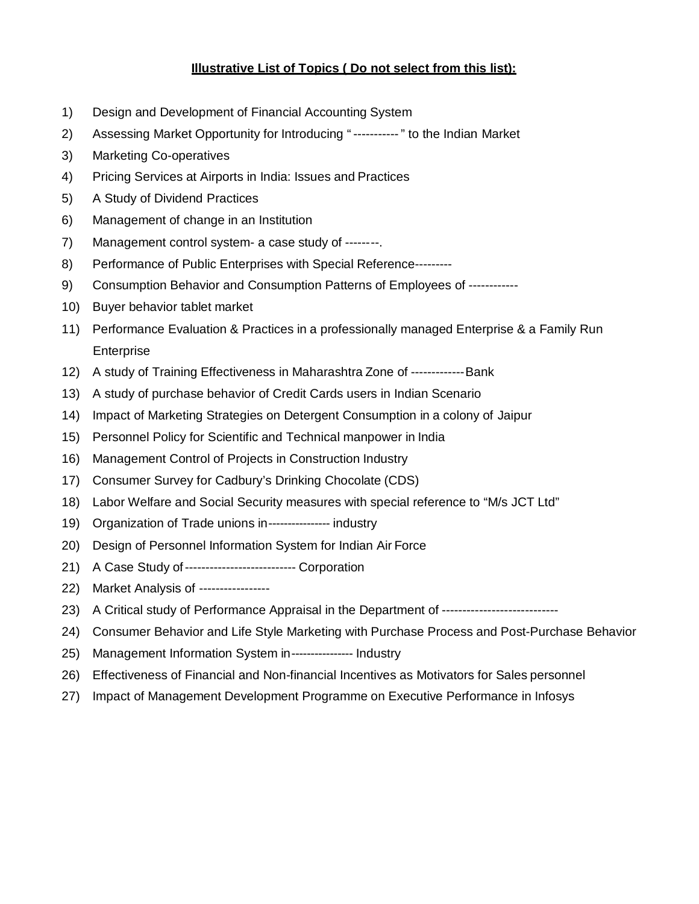#### **Illustrative List of Topics ( Do not select from this list):**

- 1) Design and Development of Financial Accounting System
- 2) Assessing Market Opportunity for Introducing " -----------" to the Indian Market
- 3) Marketing Co-operatives
- 4) Pricing Services at Airports in India: Issues and Practices
- 5) A Study of Dividend Practices
- 6) Management of change in an Institution
- 7) Management control system- a case study of --------.
- 8) Performance of Public Enterprises with Special Reference---------
- 9) Consumption Behavior and Consumption Patterns of Employees of ------------
- 10) Buyer behavior tablet market
- 11) Performance Evaluation & Practices in a professionally managed Enterprise & a Family Run Enterprise
- 12) A study of Training Effectiveness in Maharashtra Zone of -------------Bank
- 13) A study of purchase behavior of Credit Cards users in Indian Scenario
- 14) Impact of Marketing Strategies on Detergent Consumption in a colony of Jaipur
- 15) Personnel Policy for Scientific and Technical manpower in India
- 16) Management Control of Projects in Construction Industry
- 17) Consumer Survey for Cadbury's Drinking Chocolate (CDS)
- 18) Labor Welfare and Social Security measures with special reference to "M/s JCT Ltd"
- 19) Organization of Trade unions in---------------- industry
- 20) Design of Personnel Information System for Indian Air Force
- 21) A Case Study of ---------------------------- Corporation
- 22) Market Analysis of -----------------
- 23) A Critical study of Performance Appraisal in the Department of ---------------------------------
- 24) Consumer Behavior and Life Style Marketing with Purchase Process and Post-Purchase Behavior
- 25) Management Information System in---------------- Industry
- 26) Effectiveness of Financial and Non-financial Incentives as Motivators for Sales personnel
- 27) Impact of Management Development Programme on Executive Performance in Infosys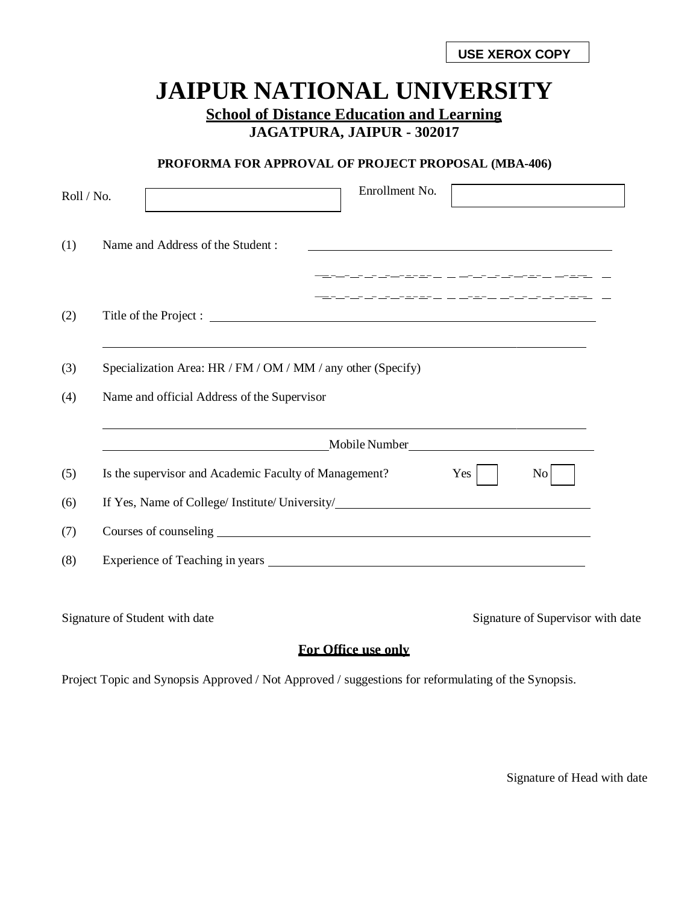## **JAIPUR NATIONAL UNIVERSITY School of Distance Education and Learning**

**JAGATPURA, JAIPUR - 302017**

#### **PROFORMA FOR APPROVAL OF PROJECT PROPOSAL (MBA-406)**

| Roll / No.                                                                                                                         |                                                                                                                      | Enrollment No.                                                    |     |           |
|------------------------------------------------------------------------------------------------------------------------------------|----------------------------------------------------------------------------------------------------------------------|-------------------------------------------------------------------|-----|-----------|
|                                                                                                                                    | Name and Address of the Student:                                                                                     |                                                                   |     |           |
|                                                                                                                                    |                                                                                                                      | المحصومين المرجوح مساجين حماجتهم بالمناسب ويعاجزها مساجين حمايتهم |     |           |
| <u> 1989 - Jan Samuel Barbara, margaret eta idazlea (h. 1989).</u><br>Specialization Area: HR / FM / OM / MM / any other (Specify) |                                                                                                                      |                                                                   |     |           |
| Name and official Address of the Supervisor                                                                                        |                                                                                                                      |                                                                   |     |           |
|                                                                                                                                    |                                                                                                                      |                                                                   |     |           |
|                                                                                                                                    | <u> 1989 - Andrea Santa Andrea Santa Andrea Santa Andrea Santa Andrea Santa Andrea Santa Andrea Santa Andrea San</u> |                                                                   |     |           |
|                                                                                                                                    | Is the supervisor and Academic Faculty of Management?                                                                |                                                                   | Yes | $\rm{No}$ |
|                                                                                                                                    | If Yes, Name of College/ Institute/ University/                                                                      |                                                                   |     |           |
|                                                                                                                                    |                                                                                                                      |                                                                   |     |           |

Signature of Student with date Signature of Supervisor with date

#### **For Office use only**

Project Topic and Synopsis Approved / Not Approved / suggestions for reformulating of the Synopsis.

Signature of Head with date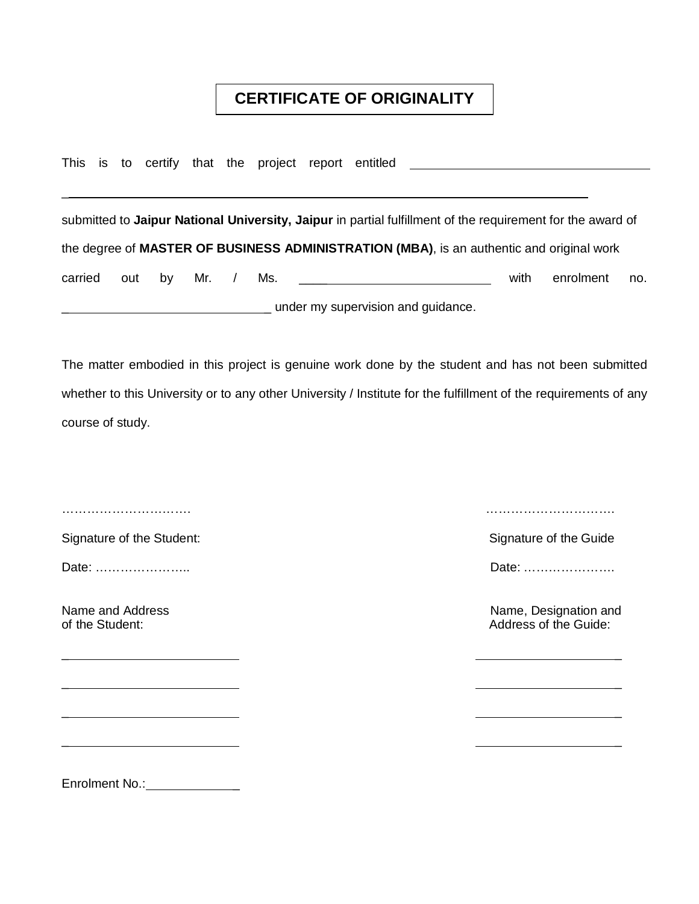## **CERTIFICATE OF ORIGINALITY**

This is to certify that the project report entitled

submitted to **Jaipur National University, Jaipur** in partial fulfillment of the requirement for the award of the degree of **MASTER OF BUSINESS ADMINISTRATION (MBA)**, is an authentic and original work carried out by Mr. / Ms. \_\_\_\_\_\_\_\_\_\_\_\_\_\_\_\_\_\_\_\_\_\_\_\_\_\_ with enrolment no. **EXECUTE:** under my supervision and guidance.

The matter embodied in this project is genuine work done by the student and has not been submitted whether to this University or to any other University / Institute for the fulfillment of the requirements of any course of study.

\_ \_

\_ \_

\_ \_

\_ \_

 $\overline{a}$ 

Signature of the Student: Signature of the Guide Signature of the Guide Signature of the Guide

…………………………. ………………………….

Date: ………………….. Date: ………………….

Name and Address Name, Designation and Name, Designation and of the Student:  $\blacksquare$  Address of the Guide:

Enrolment No.: \_\_\_\_\_\_\_\_\_\_\_\_\_\_\_